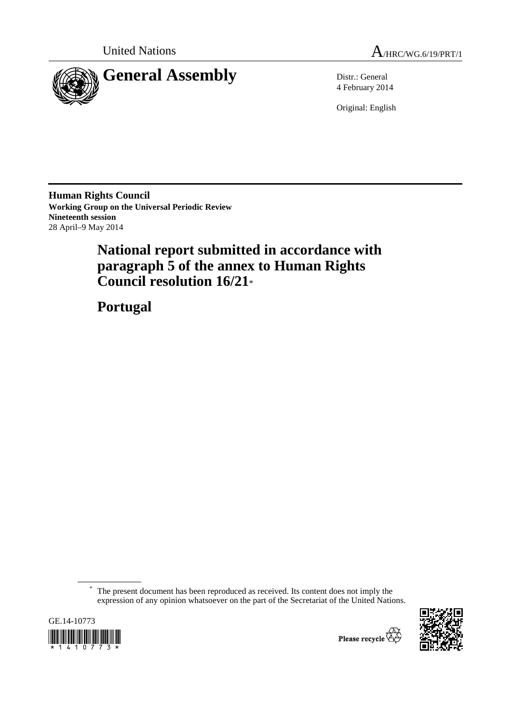



4 February 2014

Original: English

**Human Rights Council Working Group on the Universal Periodic Review Nineteenth session**  28 April–9 May 2014

# **National report submitted in accordance with paragraph 5 of the annex to Human Rights Council resolution 16/21**\*

 **Portugal** 

The present document has been reproduced as received. Its content does not imply the expression of any opinion whatsoever on the part of the Secretariat of the United Nations.





Please recycle  $\overleftrightarrow{G}$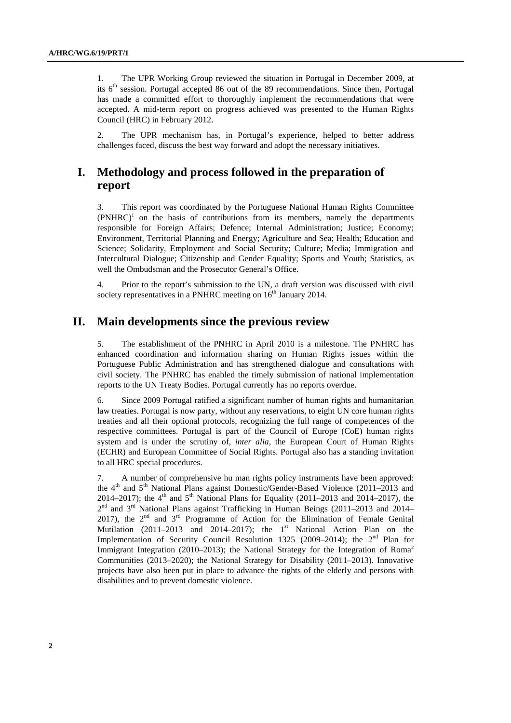1. The UPR Working Group reviewed the situation in Portugal in December 2009, at its  $6<sup>th</sup>$  session. Portugal accepted 86 out of the 89 recommendations. Since then, Portugal has made a committed effort to thoroughly implement the recommendations that were accepted. A mid-term report on progress achieved was presented to the Human Rights Council (HRC) in February 2012.

2. The UPR mechanism has, in Portugal's experience, helped to better address challenges faced, discuss the best way forward and adopt the necessary initiatives.

# **I. Methodology and process followed in the preparation of report**

3. This report was coordinated by the Portuguese National Human Rights Committee  $(PNHRC)^1$  on the basis of contributions from its members, namely the departments responsible for Foreign Affairs; Defence; Internal Administration; Justice; Economy; Environment, Territorial Planning and Energy; Agriculture and Sea; Health; Education and Science; Solidarity, Employment and Social Security; Culture; Media; Immigration and Intercultural Dialogue; Citizenship and Gender Equality; Sports and Youth; Statistics, as well the Ombudsman and the Prosecutor General's Office.

4. Prior to the report's submission to the UN, a draft version was discussed with civil society representatives in a PNHRC meeting on  $16<sup>th</sup>$  January 2014.

# **II. Main developments since the previous review**

5. The establishment of the PNHRC in April 2010 is a milestone. The PNHRC has enhanced coordination and information sharing on Human Rights issues within the Portuguese Public Administration and has strengthened dialogue and consultations with civil society. The PNHRC has enabled the timely submission of national implementation reports to the UN Treaty Bodies. Portugal currently has no reports overdue.

6. Since 2009 Portugal ratified a significant number of human rights and humanitarian law treaties. Portugal is now party, without any reservations, to eight UN core human rights treaties and all their optional protocols, recognizing the full range of competences of the respective committees. Portugal is part of the Council of Europe (CoE) human rights system and is under the scrutiny of, *inter alia*, the European Court of Human Rights (ECHR) and European Committee of Social Rights. Portugal also has a standing invitation to all HRC special procedures.

7. A number of comprehensive hu man rights policy instruments have been approved: the 4<sup>th</sup> and 5<sup>th</sup> National Plans against Domestic/Gender-Based Violence (2011–2013 and 2014–2017); the 4<sup>th</sup> and 5<sup>th</sup> National Plans for Equality (2011–2013 and 2014–2017), the 2<sup>nd</sup> and 3<sup>rd</sup> National Plans against Trafficking in Human Beings (2011–2013 and 2014– 2017), the  $2<sup>nd</sup>$  and  $3<sup>rd</sup>$  Programme of Action for the Elimination of Female Genital Mutilation  $(2011-2013$  and  $2014-2017)$ ; the 1<sup>st</sup> National Action Plan on the Implementation of Security Council Resolution 1325 (2009–2014); the  $2<sup>nd</sup>$  Plan for Immigrant Integration (2010–2013); the National Strategy for the Integration of Roma<sup>2</sup> Communities (2013–2020); the National Strategy for Disability (2011–2013). Innovative projects have also been put in place to advance the rights of the elderly and persons with disabilities and to prevent domestic violence.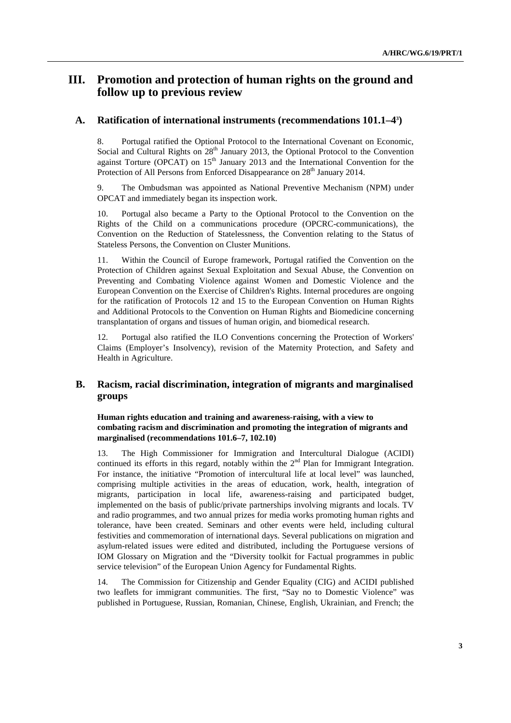# **III. Promotion and protection of human rights on the ground and follow up to previous review**

# **A. Ratification of international instruments (recommendations 101.1–43 )**

8. Portugal ratified the Optional Protocol to the International Covenant on Economic, Social and Cultural Rights on  $28<sup>th</sup>$  January 2013, the Optional Protocol to the Convention against Torture ( $OPCAT$ ) on 15<sup>th</sup> January 2013 and the International Convention for the Protection of All Persons from Enforced Disappearance on 28<sup>th</sup> January 2014.

9. The Ombudsman was appointed as National Preventive Mechanism (NPM) under OPCAT and immediately began its inspection work.

10. Portugal also became a Party to the Optional Protocol to the Convention on the Rights of the Child on a communications procedure (OPCRC-communications), the Convention on the Reduction of Statelessness, the Convention relating to the Status of Stateless Persons, the Convention on Cluster Munitions.

11. Within the Council of Europe framework, Portugal ratified the Convention on the Protection of Children against Sexual Exploitation and Sexual Abuse, the Convention on Preventing and Combating Violence against Women and Domestic Violence and the European Convention on the Exercise of Children's Rights. Internal procedures are ongoing for the ratification of Protocols 12 and 15 to the European Convention on Human Rights and Additional Protocols to the Convention on Human Rights and Biomedicine concerning transplantation of organs and tissues of human origin, and biomedical research.

12. Portugal also ratified the ILO Conventions concerning the Protection of Workers' Claims (Employer's Insolvency), revision of the Maternity Protection, and Safety and Health in Agriculture.

# **B. Racism, racial discrimination, integration of migrants and marginalised groups**

 **Human rights education and training and awareness-raising, with a view to combating racism and discrimination and promoting the integration of migrants and marginalised (recommendations 101.6–7, 102.10)** 

13. The High Commissioner for Immigration and Intercultural Dialogue (ACIDI) continued its efforts in this regard, notably within the  $2<sup>nd</sup>$  Plan for Immigrant Integration. For instance, the initiative "Promotion of intercultural life at local level" was launched, comprising multiple activities in the areas of education, work, health, integration of migrants, participation in local life, awareness-raising and participated budget, implemented on the basis of public/private partnerships involving migrants and locals. TV and radio programmes, and two annual prizes for media works promoting human rights and tolerance, have been created. Seminars and other events were held, including cultural festivities and commemoration of international days. Several publications on migration and asylum-related issues were edited and distributed, including the Portuguese versions of IOM Glossary on Migration and the "Diversity toolkit for Factual programmes in public service television" of the European Union Agency for Fundamental Rights.

14. The Commission for Citizenship and Gender Equality (CIG) and ACIDI published two leaflets for immigrant communities. The first, "Say no to Domestic Violence" was published in Portuguese, Russian, Romanian, Chinese, English, Ukrainian, and French; the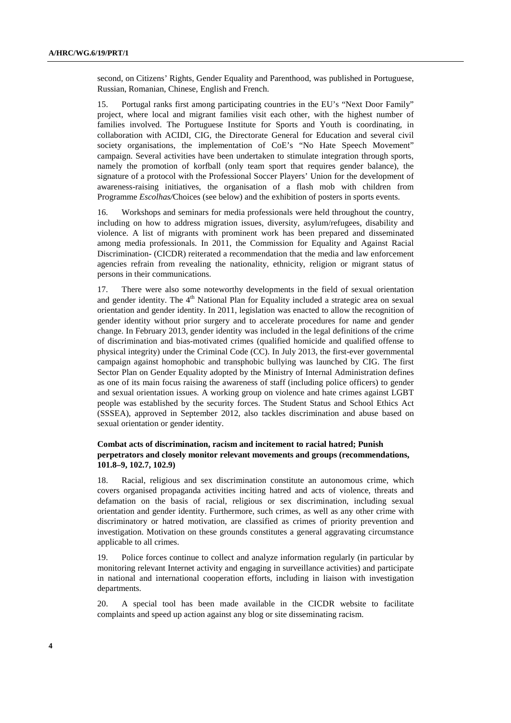second, on Citizens' Rights, Gender Equality and Parenthood, was published in Portuguese, Russian, Romanian, Chinese, English and French.

15. Portugal ranks first among participating countries in the EU's "Next Door Family" project, where local and migrant families visit each other, with the highest number of families involved. The Portuguese Institute for Sports and Youth is coordinating, in collaboration with ACIDI, CIG, the Directorate General for Education and several civil society organisations, the implementation of CoE's "No Hate Speech Movement" campaign. Several activities have been undertaken to stimulate integration through sports, namely the promotion of korfball (only team sport that requires gender balance), the signature of a protocol with the Professional Soccer Players' Union for the development of awareness-raising initiatives, the organisation of a flash mob with children from Programme *Escolhas/*Choices (see below) and the exhibition of posters in sports events.

16. Workshops and seminars for media professionals were held throughout the country, including on how to address migration issues, diversity, asylum/refugees, disability and violence. A list of migrants with prominent work has been prepared and disseminated among media professionals. In 2011, the Commission for Equality and Against Racial Discrimination- (CICDR) reiterated a recommendation that the media and law enforcement agencies refrain from revealing the nationality, ethnicity, religion or migrant status of persons in their communications.

17. There were also some noteworthy developments in the field of sexual orientation and gender identity. The 4<sup>th</sup> National Plan for Equality included a strategic area on sexual orientation and gender identity. In 2011, legislation was enacted to allow the recognition of gender identity without prior surgery and to accelerate procedures for name and gender change. In February 2013, gender identity was included in the legal definitions of the crime of discrimination and bias-motivated crimes (qualified homicide and qualified offense to physical integrity) under the Criminal Code (CC). In July 2013, the first-ever governmental campaign against homophobic and transphobic bullying was launched by CIG. The first Sector Plan on Gender Equality adopted by the Ministry of Internal Administration defines as one of its main focus raising the awareness of staff (including police officers) to gender and sexual orientation issues. A working group on violence and hate crimes against LGBT people was established by the security forces. The Student Status and School Ethics Act (SSSEA), approved in September 2012, also tackles discrimination and abuse based on sexual orientation or gender identity.

# **Combat acts of discrimination, racism and incitement to racial hatred; Punish perpetrators and closely monitor relevant movements and groups (recommendations, 101.8–9, 102.7, 102.9)**

18. Racial, religious and sex discrimination constitute an autonomous crime, which covers organised propaganda activities inciting hatred and acts of violence, threats and defamation on the basis of racial, religious or sex discrimination, including sexual orientation and gender identity. Furthermore, such crimes, as well as any other crime with discriminatory or hatred motivation, are classified as crimes of priority prevention and investigation. Motivation on these grounds constitutes a general aggravating circumstance applicable to all crimes.

19. Police forces continue to collect and analyze information regularly (in particular by monitoring relevant Internet activity and engaging in surveillance activities) and participate in national and international cooperation efforts, including in liaison with investigation departments.

20. A special tool has been made available in the CICDR website to facilitate complaints and speed up action against any blog or site disseminating racism.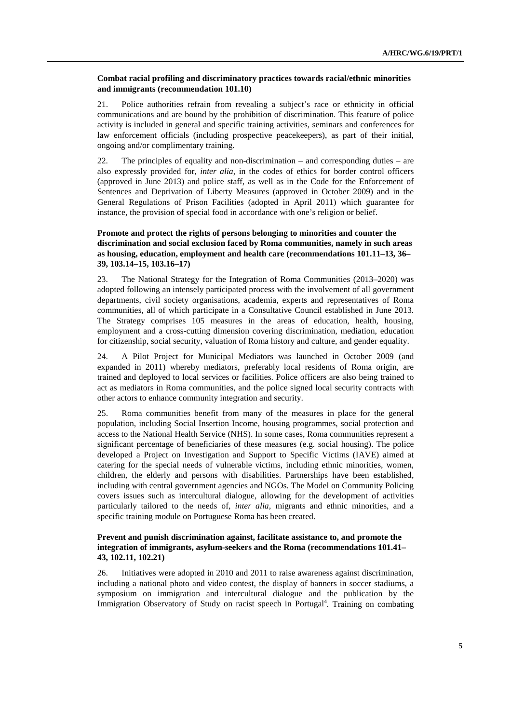#### **Combat racial profiling and discriminatory practices towards racial/ethnic minorities and immigrants (recommendation 101.10)**

21. Police authorities refrain from revealing a subject's race or ethnicity in official communications and are bound by the prohibition of discrimination. This feature of police activity is included in general and specific training activities, seminars and conferences for law enforcement officials (including prospective peacekeepers), as part of their initial, ongoing and/or complimentary training.

22. The principles of equality and non-discrimination – and corresponding duties – are also expressly provided for, *inter alia*, in the codes of ethics for border control officers (approved in June 2013) and police staff, as well as in the Code for the Enforcement of Sentences and Deprivation of Liberty Measures (approved in October 2009) and in the General Regulations of Prison Facilities (adopted in April 2011) which guarantee for instance, the provision of special food in accordance with one's religion or belief.

# **Promote and protect the rights of persons belonging to minorities and counter the discrimination and social exclusion faced by Roma communities, namely in such areas as housing, education, employment and health care (recommendations 101.11–13, 36– 39, 103.14–15, 103.16–17)**

23. The National Strategy for the Integration of Roma Communities (2013–2020) was adopted following an intensely participated process with the involvement of all government departments, civil society organisations, academia, experts and representatives of Roma communities, all of which participate in a Consultative Council established in June 2013. The Strategy comprises 105 measures in the areas of education, health, housing, employment and a cross-cutting dimension covering discrimination, mediation, education for citizenship, social security, valuation of Roma history and culture, and gender equality.

24. A Pilot Project for Municipal Mediators was launched in October 2009 (and expanded in 2011) whereby mediators, preferably local residents of Roma origin, are trained and deployed to local services or facilities. Police officers are also being trained to act as mediators in Roma communities, and the police signed local security contracts with other actors to enhance community integration and security.

25. Roma communities benefit from many of the measures in place for the general population, including Social Insertion Income, housing programmes, social protection and access to the National Health Service (NHS). In some cases, Roma communities represent a significant percentage of beneficiaries of these measures (e.g. social housing). The police developed a Project on Investigation and Support to Specific Victims (IAVE) aimed at catering for the special needs of vulnerable victims, including ethnic minorities, women, children, the elderly and persons with disabilities. Partnerships have been established, including with central government agencies and NGOs. The Model on Community Policing covers issues such as intercultural dialogue, allowing for the development of activities particularly tailored to the needs of, *inter alia*, migrants and ethnic minorities, and a specific training module on Portuguese Roma has been created.

# **Prevent and punish discrimination against, facilitate assistance to, and promote the integration of immigrants, asylum-seekers and the Roma (recommendations 101.41– 43, 102.11, 102.21)**

26. Initiatives were adopted in 2010 and 2011 to raise awareness against discrimination, including a national photo and video contest, the display of banners in soccer stadiums, a symposium on immigration and intercultural dialogue and the publication by the Immigration Observatory of Study on racist speech in Portugal<sup>4</sup>. Training on combating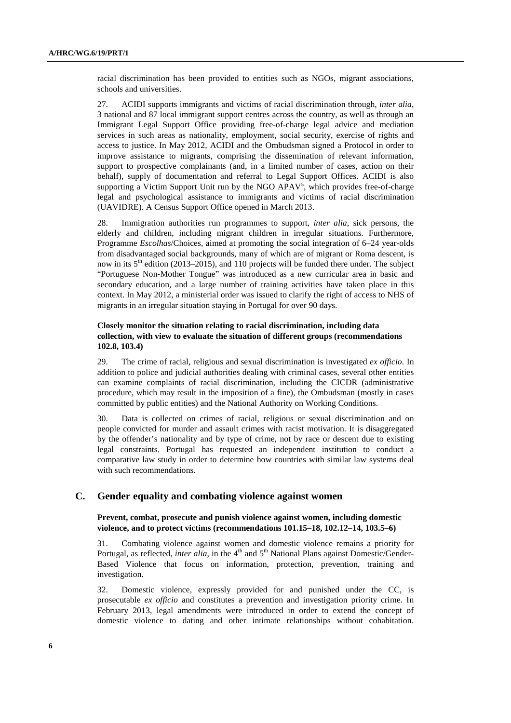racial discrimination has been provided to entities such as NGOs, migrant associations, schools and universities.

27. ACIDI supports immigrants and victims of racial discrimination through, *inter alia*, 3 national and 87 local immigrant support centres across the country, as well as through an Immigrant Legal Support Office providing free-of-charge legal advice and mediation services in such areas as nationality, employment, social security, exercise of rights and access to justice. In May 2012, ACIDI and the Ombudsman signed a Protocol in order to improve assistance to migrants, comprising the dissemination of relevant information, support to prospective complainants (and, in a limited number of cases, action on their behalf), supply of documentation and referral to Legal Support Offices. ACIDI is also supporting a Victim Support Unit run by the NGO APAV<sup>5</sup>, which provides free-of-charge legal and psychological assistance to immigrants and victims of racial discrimination (UAVIDRE). A Census Support Office opened in March 2013.

28. Immigration authorities run programmes to support, *inter alia*, sick persons, the elderly and children, including migrant children in irregular situations. Furthermore, Programme *Escolhas*/Choices*,* aimed at promoting the social integration of 6–24 year-olds from disadvantaged social backgrounds, many of which are of migrant or Roma descent, is now in its  $5<sup>th</sup>$  edition (2013–2015), and 110 projects will be funded there under. The subject "Portuguese Non-Mother Tongue" was introduced as a new curricular area in basic and secondary education, and a large number of training activities have taken place in this context. In May 2012, a ministerial order was issued to clarify the right of access to NHS of migrants in an irregular situation staying in Portugal for over 90 days.

# **Closely monitor the situation relating to racial discrimination, including data collection, with view to evaluate the situation of different groups (recommendations 102.8, 103.4)**

29. The crime of racial, religious and sexual discrimination is investigated *ex officio*. In addition to police and judicial authorities dealing with criminal cases, several other entities can examine complaints of racial discrimination, including the CICDR (administrative procedure, which may result in the imposition of a fine), the Ombudsman (mostly in cases committed by public entities) and the National Authority on Working Conditions.

30. Data is collected on crimes of racial, religious or sexual discrimination and on people convicted for murder and assault crimes with racist motivation. It is disaggregated by the offender's nationality and by type of crime, not by race or descent due to existing legal constraints. Portugal has requested an independent institution to conduct a comparative law study in order to determine how countries with similar law systems deal with such recommendations.

# **C. Gender equality and combating violence against women**

#### **Prevent, combat, prosecute and punish violence against women, including domestic violence, and to protect victims (recommendations 101.15–18, 102.12–14, 103.5–6)**

31. Combating violence against women and domestic violence remains a priority for Portugal, as reflected, *inter alia*, in the 4<sup>th</sup> and 5<sup>th</sup> National Plans against Domestic/Gender-Based Violence that focus on information, protection, prevention, training and investigation.

32. Domestic violence, expressly provided for and punished under the CC, is prosecutable *ex officio* and constitutes a prevention and investigation priority crime. In February 2013, legal amendments were introduced in order to extend the concept of domestic violence to dating and other intimate relationships without cohabitation.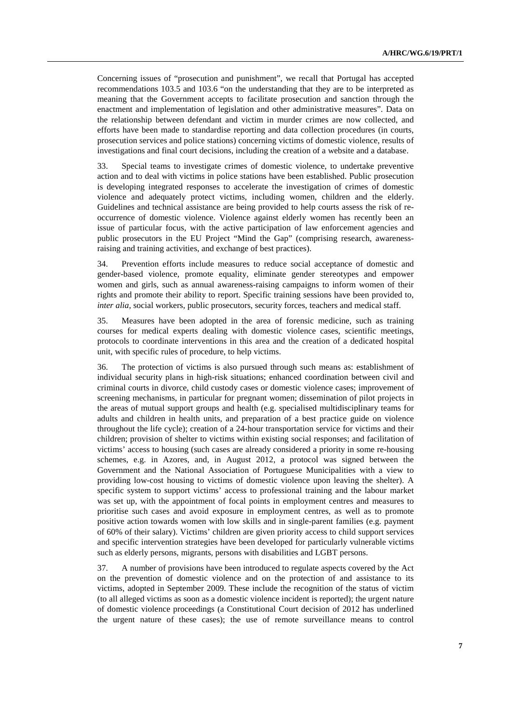Concerning issues of "prosecution and punishment", we recall that Portugal has accepted recommendations 103.5 and 103.6 "on the understanding that they are to be interpreted as meaning that the Government accepts to facilitate prosecution and sanction through the enactment and implementation of legislation and other administrative measures". Data on the relationship between defendant and victim in murder crimes are now collected, and efforts have been made to standardise reporting and data collection procedures (in courts, prosecution services and police stations) concerning victims of domestic violence, results of investigations and final court decisions, including the creation of a website and a database.

33. Special teams to investigate crimes of domestic violence, to undertake preventive action and to deal with victims in police stations have been established. Public prosecution is developing integrated responses to accelerate the investigation of crimes of domestic violence and adequately protect victims, including women, children and the elderly. Guidelines and technical assistance are being provided to help courts assess the risk of reoccurrence of domestic violence. Violence against elderly women has recently been an issue of particular focus, with the active participation of law enforcement agencies and public prosecutors in the EU Project "Mind the Gap" (comprising research, awarenessraising and training activities, and exchange of best practices).

34. Prevention efforts include measures to reduce social acceptance of domestic and gender-based violence, promote equality, eliminate gender stereotypes and empower women and girls, such as annual awareness-raising campaigns to inform women of their rights and promote their ability to report. Specific training sessions have been provided to, *inter alia*, social workers, public prosecutors, security forces, teachers and medical staff.

35. Measures have been adopted in the area of forensic medicine, such as training courses for medical experts dealing with domestic violence cases, scientific meetings, protocols to coordinate interventions in this area and the creation of a dedicated hospital unit, with specific rules of procedure, to help victims.

36. The protection of victims is also pursued through such means as: establishment of individual security plans in high-risk situations; enhanced coordination between civil and criminal courts in divorce, child custody cases or domestic violence cases; improvement of screening mechanisms, in particular for pregnant women; dissemination of pilot projects in the areas of mutual support groups and health (e.g. specialised multidisciplinary teams for adults and children in health units, and preparation of a best practice guide on violence throughout the life cycle); creation of a 24-hour transportation service for victims and their children; provision of shelter to victims within existing social responses; and facilitation of victims' access to housing (such cases are already considered a priority in some re-housing schemes, e.g. in Azores, and, in August 2012, a protocol was signed between the Government and the National Association of Portuguese Municipalities with a view to providing low-cost housing to victims of domestic violence upon leaving the shelter). A specific system to support victims' access to professional training and the labour market was set up, with the appointment of focal points in employment centres and measures to prioritise such cases and avoid exposure in employment centres, as well as to promote positive action towards women with low skills and in single-parent families (e.g. payment of 60% of their salary). Victims' children are given priority access to child support services and specific intervention strategies have been developed for particularly vulnerable victims such as elderly persons, migrants, persons with disabilities and LGBT persons.

37. A number of provisions have been introduced to regulate aspects covered by the Act on the prevention of domestic violence and on the protection of and assistance to its victims, adopted in September 2009. These include the recognition of the status of victim (to all alleged victims as soon as a domestic violence incident is reported); the urgent nature of domestic violence proceedings (a Constitutional Court decision of 2012 has underlined the urgent nature of these cases); the use of remote surveillance means to control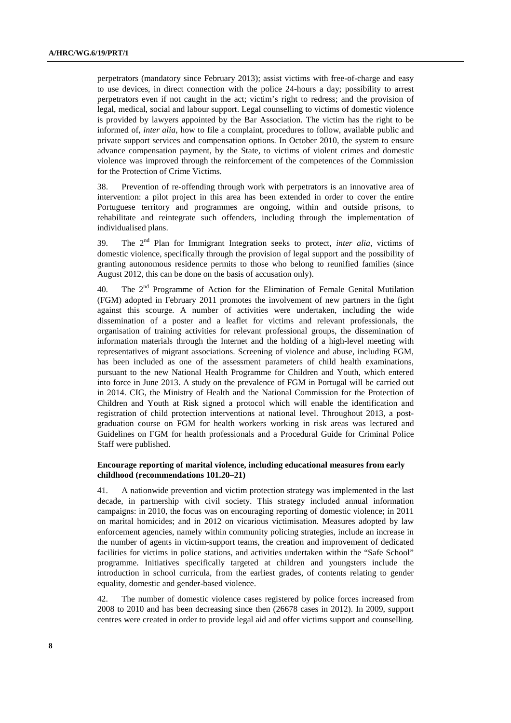perpetrators (mandatory since February 2013); assist victims with free-of-charge and easy to use devices, in direct connection with the police 24-hours a day; possibility to arrest perpetrators even if not caught in the act; victim's right to redress; and the provision of legal, medical, social and labour support. Legal counselling to victims of domestic violence is provided by lawyers appointed by the Bar Association. The victim has the right to be informed of, *inter alia*, how to file a complaint, procedures to follow, available public and private support services and compensation options. In October 2010, the system to ensure advance compensation payment, by the State, to victims of violent crimes and domestic violence was improved through the reinforcement of the competences of the Commission for the Protection of Crime Victims.

38. Prevention of re-offending through work with perpetrators is an innovative area of intervention: a pilot project in this area has been extended in order to cover the entire Portuguese territory and programmes are ongoing, within and outside prisons, to rehabilitate and reintegrate such offenders, including through the implementation of individualised plans.

39. The  $2<sup>nd</sup>$  Plan for Immigrant Integration seeks to protect, *inter alia*, victims of domestic violence, specifically through the provision of legal support and the possibility of granting autonomous residence permits to those who belong to reunified families (since August 2012, this can be done on the basis of accusation only).

40. The  $2<sup>nd</sup>$  Programme of Action for the Elimination of Female Genital Mutilation (FGM) adopted in February 2011 promotes the involvement of new partners in the fight against this scourge. A number of activities were undertaken, including the wide dissemination of a poster and a leaflet for victims and relevant professionals, the organisation of training activities for relevant professional groups, the dissemination of information materials through the Internet and the holding of a high-level meeting with representatives of migrant associations. Screening of violence and abuse, including FGM, has been included as one of the assessment parameters of child health examinations, pursuant to the new National Health Programme for Children and Youth, which entered into force in June 2013. A study on the prevalence of FGM in Portugal will be carried out in 2014. CIG, the Ministry of Health and the National Commission for the Protection of Children and Youth at Risk signed a protocol which will enable the identification and registration of child protection interventions at national level. Throughout 2013, a postgraduation course on FGM for health workers working in risk areas was lectured and Guidelines on FGM for health professionals and a Procedural Guide for Criminal Police Staff were published.

#### **Encourage reporting of marital violence, including educational measures from early childhood (recommendations 101.20–21)**

41. A nationwide prevention and victim protection strategy was implemented in the last decade, in partnership with civil society. This strategy included annual information campaigns: in 2010, the focus was on encouraging reporting of domestic violence; in 2011 on marital homicides; and in 2012 on vicarious victimisation. Measures adopted by law enforcement agencies, namely within community policing strategies, include an increase in the number of agents in victim-support teams, the creation and improvement of dedicated facilities for victims in police stations, and activities undertaken within the "Safe School" programme. Initiatives specifically targeted at children and youngsters include the introduction in school curricula, from the earliest grades, of contents relating to gender equality, domestic and gender-based violence.

42. The number of domestic violence cases registered by police forces increased from 2008 to 2010 and has been decreasing since then (26678 cases in 2012). In 2009, support centres were created in order to provide legal aid and offer victims support and counselling.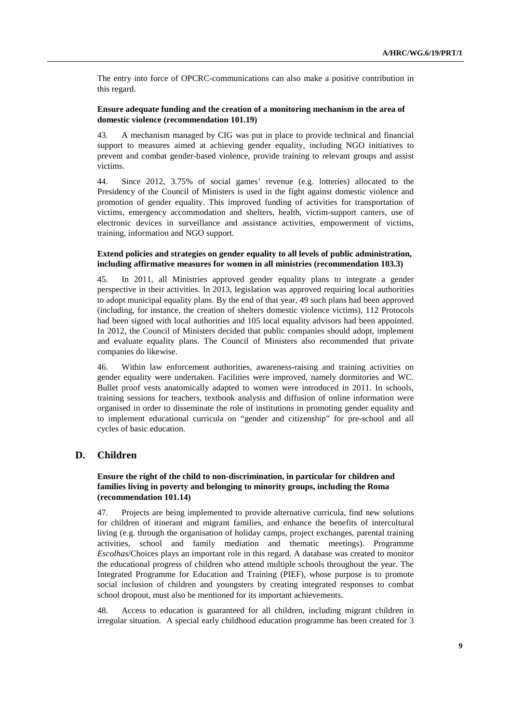The entry into force of OPCRC-communications can also make a positive contribution in this regard.

# **Ensure adequate funding and the creation of a monitoring mechanism in the area of domestic violence (recommendation 101.19)**

43. A mechanism managed by CIG was put in place to provide technical and financial support to measures aimed at achieving gender equality, including NGO initiatives to prevent and combat gender-based violence, provide training to relevant groups and assist victims.

44. Since 2012, 3.75% of social games' revenue (e.g. lotteries) allocated to the Presidency of the Council of Ministers is used in the fight against domestic violence and promotion of gender equality. This improved funding of activities for transportation of victims, emergency accommodation and shelters, health, victim-support canters, use of electronic devices in surveillance and assistance activities, empowerment of victims, training, information and NGO support.

#### **Extend policies and strategies on gender equality to all levels of public administration, including affirmative measures for women in all ministries (recommendation 103.3)**

45. In 2011, all Ministries approved gender equality plans to integrate a gender perspective in their activities. In 2013, legislation was approved requiring local authorities to adopt municipal equality plans. By the end of that year, 49 such plans had been approved (including, for instance, the creation of shelters domestic violence victims), 112 Protocols had been signed with local authorities and 105 local equality advisors had been appointed. In 2012, the Council of Ministers decided that public companies should adopt, implement and evaluate equality plans. The Council of Ministers also recommended that private companies do likewise.

46. Within law enforcement authorities, awareness-raising and training activities on gender equality were undertaken. Facilities were improved, namely dormitories and WC. Bullet proof vests anatomically adapted to women were introduced in 2011. In schools, training sessions for teachers, textbook analysis and diffusion of online information were organised in order to disseminate the role of institutions in promoting gender equality and to implement educational curricula on "gender and citizenship" for pre-school and all cycles of basic education.

# **D. Children**

# **Ensure the right of the child to non-discrimination, in particular for children and families living in poverty and belonging to minority groups, including the Roma (recommendation 101.14)**

47. Projects are being implemented to provide alternative curricula, find new solutions for children of itinerant and migrant families, and enhance the benefits of intercultural living (e.g. through the organisation of holiday camps, project exchanges, parental training activities, school and family mediation and thematic meetings). Programme *Escolhas*/Choices plays an important role in this regard. A database was created to monitor the educational progress of children who attend multiple schools throughout the year. The Integrated Programme for Education and Training (PIEF), whose purpose is to promote social inclusion of children and youngsters by creating integrated responses to combat school dropout, must also be mentioned for its important achievements.

48. Access to education is guaranteed for all children, including migrant children in irregular situation. A special early childhood education programme has been created for 3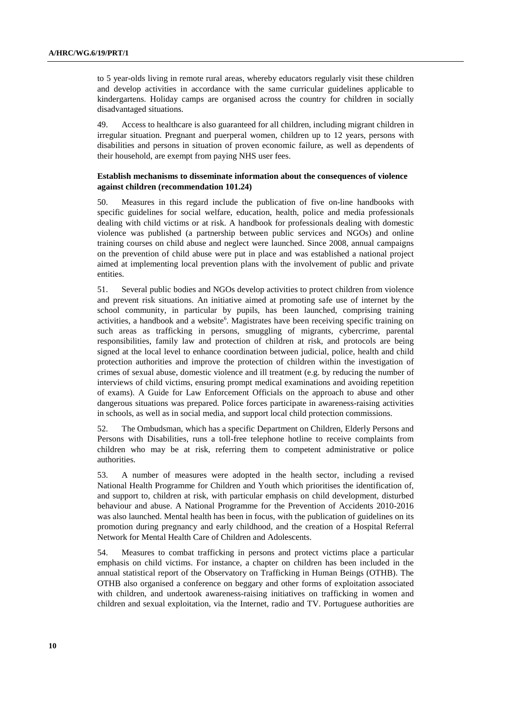to 5 year-olds living in remote rural areas, whereby educators regularly visit these children and develop activities in accordance with the same curricular guidelines applicable to kindergartens. Holiday camps are organised across the country for children in socially disadvantaged situations.

49. Access to healthcare is also guaranteed for all children, including migrant children in irregular situation. Pregnant and puerperal women, children up to 12 years, persons with disabilities and persons in situation of proven economic failure, as well as dependents of their household, are exempt from paying NHS user fees.

#### **Establish mechanisms to disseminate information about the consequences of violence against children (recommendation 101.24)**

50. Measures in this regard include the publication of five on-line handbooks with specific guidelines for social welfare, education, health, police and media professionals dealing with child victims or at risk. A handbook for professionals dealing with domestic violence was published (a partnership between public services and NGOs) and online training courses on child abuse and neglect were launched. Since 2008, annual campaigns on the prevention of child abuse were put in place and was established a national project aimed at implementing local prevention plans with the involvement of public and private entities.

51. Several public bodies and NGOs develop activities to protect children from violence and prevent risk situations. An initiative aimed at promoting safe use of internet by the school community, in particular by pupils, has been launched, comprising training activities, a handbook and a website<sup>6</sup>. Magistrates have been receiving specific training on such areas as trafficking in persons, smuggling of migrants, cybercrime, parental responsibilities, family law and protection of children at risk, and protocols are being signed at the local level to enhance coordination between judicial, police, health and child protection authorities and improve the protection of children within the investigation of crimes of sexual abuse, domestic violence and ill treatment (e.g. by reducing the number of interviews of child victims, ensuring prompt medical examinations and avoiding repetition of exams). A Guide for Law Enforcement Officials on the approach to abuse and other dangerous situations was prepared. Police forces participate in awareness-raising activities in schools, as well as in social media, and support local child protection commissions.

52. The Ombudsman, which has a specific Department on Children, Elderly Persons and Persons with Disabilities, runs a toll-free telephone hotline to receive complaints from children who may be at risk, referring them to competent administrative or police authorities.

53. A number of measures were adopted in the health sector, including a revised National Health Programme for Children and Youth which prioritises the identification of, and support to, children at risk, with particular emphasis on child development, disturbed behaviour and abuse. A National Programme for the Prevention of Accidents 2010-2016 was also launched. Mental health has been in focus, with the publication of guidelines on its promotion during pregnancy and early childhood, and the creation of a Hospital Referral Network for Mental Health Care of Children and Adolescents.

54. Measures to combat trafficking in persons and protect victims place a particular emphasis on child victims. For instance, a chapter on children has been included in the annual statistical report of the Observatory on Trafficking in Human Beings (OTHB). The OTHB also organised a conference on beggary and other forms of exploitation associated with children, and undertook awareness-raising initiatives on trafficking in women and children and sexual exploitation, via the Internet, radio and TV. Portuguese authorities are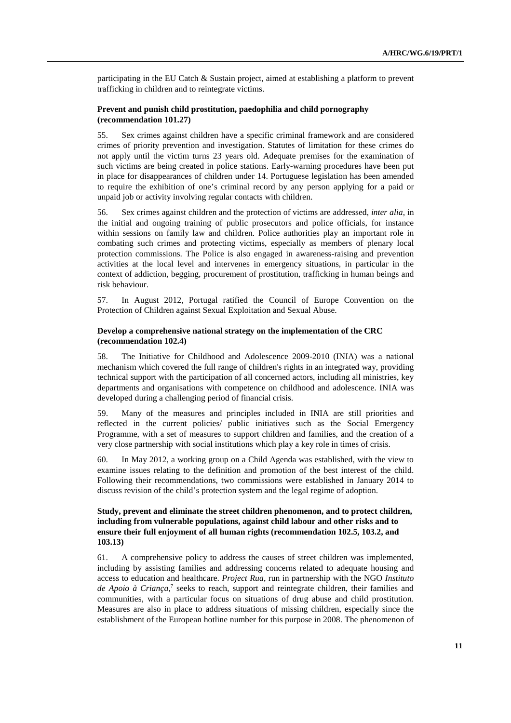participating in the EU Catch & Sustain project, aimed at establishing a platform to prevent trafficking in children and to reintegrate victims.

# **Prevent and punish child prostitution, paedophilia and child pornography (recommendation 101.27)**

55. Sex crimes against children have a specific criminal framework and are considered crimes of priority prevention and investigation. Statutes of limitation for these crimes do not apply until the victim turns 23 years old. Adequate premises for the examination of such victims are being created in police stations. Early-warning procedures have been put in place for disappearances of children under 14. Portuguese legislation has been amended to require the exhibition of one's criminal record by any person applying for a paid or unpaid job or activity involving regular contacts with children.

56. Sex crimes against children and the protection of victims are addressed, *inter alia*, in the initial and ongoing training of public prosecutors and police officials, for instance within sessions on family law and children. Police authorities play an important role in combating such crimes and protecting victims, especially as members of plenary local protection commissions. The Police is also engaged in awareness-raising and prevention activities at the local level and intervenes in emergency situations, in particular in the context of addiction, begging, procurement of prostitution, trafficking in human beings and risk behaviour.

57. In August 2012, Portugal ratified the Council of Europe Convention on the Protection of Children against Sexual Exploitation and Sexual Abuse.

#### **Develop a comprehensive national strategy on the implementation of the CRC (recommendation 102.4)**

58. The Initiative for Childhood and Adolescence 2009-2010 (INIA) was a national mechanism which covered the full range of children's rights in an integrated way, providing technical support with the participation of all concerned actors, including all ministries, key departments and organisations with competence on childhood and adolescence. INIA was developed during a challenging period of financial crisis.

59. Many of the measures and principles included in INIA are still priorities and reflected in the current policies/ public initiatives such as the Social Emergency Programme, with a set of measures to support children and families, and the creation of a very close partnership with social institutions which play a key role in times of crisis.

60. In May 2012, a working group on a Child Agenda was established, with the view to examine issues relating to the definition and promotion of the best interest of the child. Following their recommendations, two commissions were established in January 2014 to discuss revision of the child's protection system and the legal regime of adoption.

# **Study, prevent and eliminate the street children phenomenon, and to protect children, including from vulnerable populations, against child labour and other risks and to ensure their full enjoyment of all human rights (recommendation 102.5, 103.2, and 103.13)**

61. A comprehensive policy to address the causes of street children was implemented, including by assisting families and addressing concerns related to adequate housing and access to education and healthcare. *Project Rua*, run in partnership with the NGO *Instituto*  de Apoio à Criança,<sup>7</sup> seeks to reach, support and reintegrate children, their families and communities, with a particular focus on situations of drug abuse and child prostitution. Measures are also in place to address situations of missing children, especially since the establishment of the European hotline number for this purpose in 2008. The phenomenon of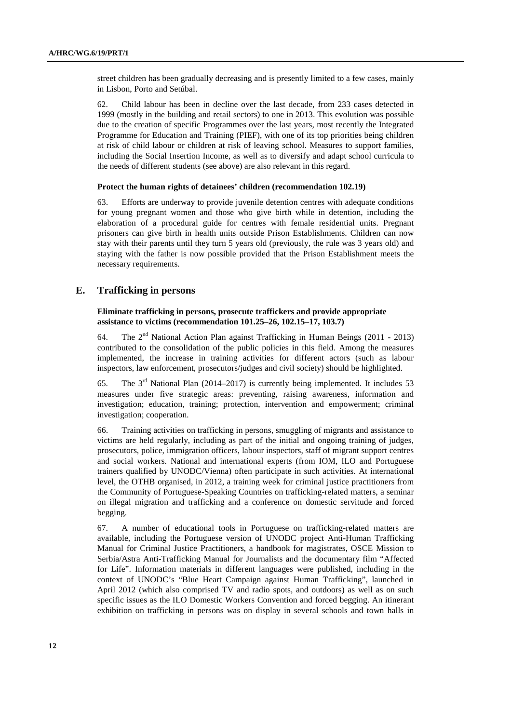street children has been gradually decreasing and is presently limited to a few cases, mainly in Lisbon, Porto and Setúbal.

62. Child labour has been in decline over the last decade, from 233 cases detected in 1999 (mostly in the building and retail sectors) to one in 2013. This evolution was possible due to the creation of specific Programmes over the last years, most recently the Integrated Programme for Education and Training (PIEF), with one of its top priorities being children at risk of child labour or children at risk of leaving school. Measures to support families, including the Social Insertion Income, as well as to diversify and adapt school curricula to the needs of different students (see above) are also relevant in this regard.

#### **Protect the human rights of detainees' children (recommendation 102.19)**

63. Efforts are underway to provide juvenile detention centres with adequate conditions for young pregnant women and those who give birth while in detention, including the elaboration of a procedural guide for centres with female residential units. Pregnant prisoners can give birth in health units outside Prison Establishments. Children can now stay with their parents until they turn 5 years old (previously, the rule was 3 years old) and staying with the father is now possible provided that the Prison Establishment meets the necessary requirements.

# **E. Trafficking in persons**

#### **Eliminate trafficking in persons, prosecute traffickers and provide appropriate assistance to victims (recommendation 101.25–26, 102.15–17, 103.7)**

64. The  $2^{nd}$  National Action Plan against Trafficking in Human Beings (2011 - 2013) contributed to the consolidation of the public policies in this field. Among the measures implemented, the increase in training activities for different actors (such as labour inspectors, law enforcement, prosecutors/judges and civil society) should be highlighted.

65. The  $3<sup>rd</sup>$  National Plan (2014–2017) is currently being implemented. It includes 53 measures under five strategic areas: preventing, raising awareness, information and investigation; education, training; protection, intervention and empowerment; criminal investigation; cooperation.

66. Training activities on trafficking in persons, smuggling of migrants and assistance to victims are held regularly, including as part of the initial and ongoing training of judges, prosecutors, police, immigration officers, labour inspectors, staff of migrant support centres and social workers. National and international experts (from IOM, ILO and Portuguese trainers qualified by UNODC/Vienna) often participate in such activities. At international level, the OTHB organised, in 2012, a training week for criminal justice practitioners from the Community of Portuguese-Speaking Countries on trafficking-related matters, a seminar on illegal migration and trafficking and a conference on domestic servitude and forced begging.

67. A number of educational tools in Portuguese on trafficking-related matters are available, including the Portuguese version of UNODC project Anti-Human Trafficking Manual for Criminal Justice Practitioners, a handbook for magistrates, OSCE Mission to Serbia/Astra Anti-Trafficking Manual for Journalists and the documentary film "Affected for Life". Information materials in different languages were published, including in the context of UNODC's "Blue Heart Campaign against Human Trafficking", launched in April 2012 (which also comprised TV and radio spots, and outdoors) as well as on such specific issues as the ILO Domestic Workers Convention and forced begging. An itinerant exhibition on trafficking in persons was on display in several schools and town halls in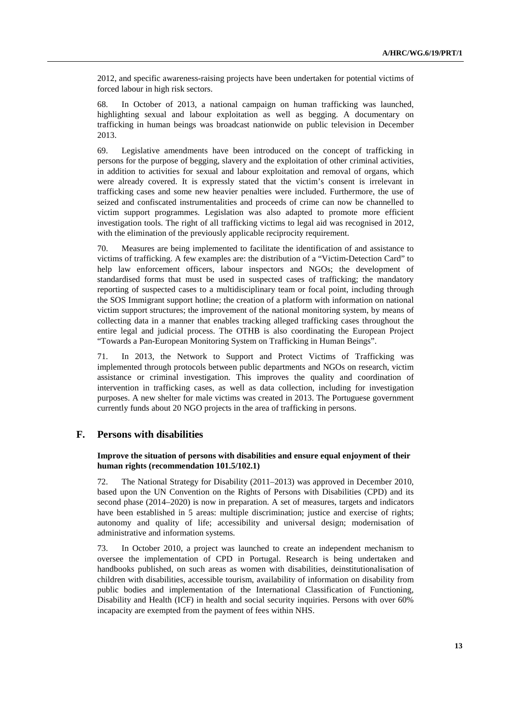2012, and specific awareness-raising projects have been undertaken for potential victims of forced labour in high risk sectors.

68. In October of 2013, a national campaign on human trafficking was launched, highlighting sexual and labour exploitation as well as begging. A documentary on trafficking in human beings was broadcast nationwide on public television in December 2013.

69. Legislative amendments have been introduced on the concept of trafficking in persons for the purpose of begging, slavery and the exploitation of other criminal activities, in addition to activities for sexual and labour exploitation and removal of organs, which were already covered. It is expressly stated that the victim's consent is irrelevant in trafficking cases and some new heavier penalties were included. Furthermore, the use of seized and confiscated instrumentalities and proceeds of crime can now be channelled to victim support programmes. Legislation was also adapted to promote more efficient investigation tools. The right of all trafficking victims to legal aid was recognised in 2012, with the elimination of the previously applicable reciprocity requirement.

70. Measures are being implemented to facilitate the identification of and assistance to victims of trafficking. A few examples are: the distribution of a "Victim-Detection Card" to help law enforcement officers, labour inspectors and NGOs; the development of standardised forms that must be used in suspected cases of trafficking; the mandatory reporting of suspected cases to a multidisciplinary team or focal point, including through the SOS Immigrant support hotline; the creation of a platform with information on national victim support structures; the improvement of the national monitoring system, by means of collecting data in a manner that enables tracking alleged trafficking cases throughout the entire legal and judicial process. The OTHB is also coordinating the European Project "Towards a Pan-European Monitoring System on Trafficking in Human Beings".

71. In 2013, the Network to Support and Protect Victims of Trafficking was implemented through protocols between public departments and NGOs on research, victim assistance or criminal investigation. This improves the quality and coordination of intervention in trafficking cases, as well as data collection, including for investigation purposes. A new shelter for male victims was created in 2013. The Portuguese government currently funds about 20 NGO projects in the area of trafficking in persons.

# **F. Persons with disabilities**

# **Improve the situation of persons with disabilities and ensure equal enjoyment of their human rights (recommendation 101.5/102.1)**

72. The National Strategy for Disability (2011–2013) was approved in December 2010, based upon the UN Convention on the Rights of Persons with Disabilities (CPD) and its second phase (2014–2020) is now in preparation. A set of measures, targets and indicators have been established in 5 areas: multiple discrimination; justice and exercise of rights; autonomy and quality of life; accessibility and universal design; modernisation of administrative and information systems.

73. In October 2010, a project was launched to create an independent mechanism to oversee the implementation of CPD in Portugal. Research is being undertaken and handbooks published, on such areas as women with disabilities, deinstitutionalisation of children with disabilities, accessible tourism, availability of information on disability from public bodies and implementation of the International Classification of Functioning, Disability and Health (ICF) in health and social security inquiries. Persons with over 60% incapacity are exempted from the payment of fees within NHS.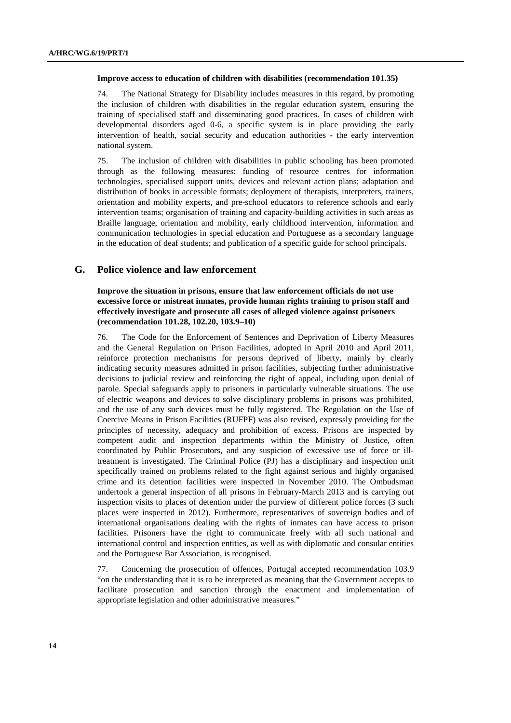#### **Improve access to education of children with disabilities (recommendation 101.35)**

74. The National Strategy for Disability includes measures in this regard, by promoting the inclusion of children with disabilities in the regular education system, ensuring the training of specialised staff and disseminating good practices. In cases of children with developmental disorders aged 0-6, a specific system is in place providing the early intervention of health, social security and education authorities - the early intervention national system.

75. The inclusion of children with disabilities in public schooling has been promoted through as the following measures: funding of resource centres for information technologies, specialised support units, devices and relevant action plans; adaptation and distribution of books in accessible formats; deployment of therapists, interpreters, trainers, orientation and mobility experts, and pre-school educators to reference schools and early intervention teams; organisation of training and capacity-building activities in such areas as Braille language, orientation and mobility, early childhood intervention, information and communication technologies in special education and Portuguese as a secondary language in the education of deaf students; and publication of a specific guide for school principals.

# **G. Police violence and law enforcement**

 **Improve the situation in prisons, ensure that law enforcement officials do not use excessive force or mistreat inmates, provide human rights training to prison staff and effectively investigate and prosecute all cases of alleged violence against prisoners (recommendation 101.28, 102.20, 103.9–10)** 

76. The Code for the Enforcement of Sentences and Deprivation of Liberty Measures and the General Regulation on Prison Facilities, adopted in April 2010 and April 2011, reinforce protection mechanisms for persons deprived of liberty, mainly by clearly indicating security measures admitted in prison facilities, subjecting further administrative decisions to judicial review and reinforcing the right of appeal, including upon denial of parole. Special safeguards apply to prisoners in particularly vulnerable situations. The use of electric weapons and devices to solve disciplinary problems in prisons was prohibited, and the use of any such devices must be fully registered. The Regulation on the Use of Coercive Means in Prison Facilities (RUFPF) was also revised, expressly providing for the principles of necessity, adequacy and prohibition of excess. Prisons are inspected by competent audit and inspection departments within the Ministry of Justice, often coordinated by Public Prosecutors, and any suspicion of excessive use of force or illtreatment is investigated. The Criminal Police (PJ) has a disciplinary and inspection unit specifically trained on problems related to the fight against serious and highly organised crime and its detention facilities were inspected in November 2010. The Ombudsman undertook a general inspection of all prisons in February-March 2013 and is carrying out inspection visits to places of detention under the purview of different police forces (3 such places were inspected in 2012). Furthermore, representatives of sovereign bodies and of international organisations dealing with the rights of inmates can have access to prison facilities. Prisoners have the right to communicate freely with all such national and international control and inspection entities, as well as with diplomatic and consular entities and the Portuguese Bar Association, is recognised.

77. Concerning the prosecution of offences, Portugal accepted recommendation 103.9 "on the understanding that it is to be interpreted as meaning that the Government accepts to facilitate prosecution and sanction through the enactment and implementation of appropriate legislation and other administrative measures."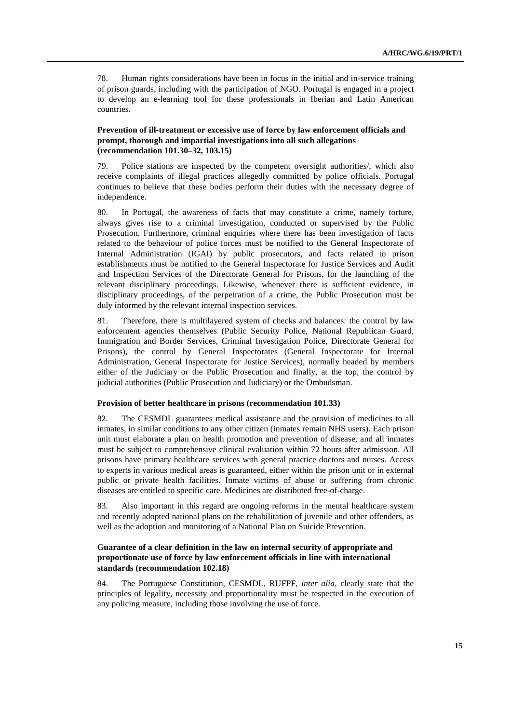78. Human rights considerations have been in focus in the initial and in-service training of prison guards, including with the participation of NGO. Portugal is engaged in a project to develop an e-learning tool for these professionals in Iberian and Latin American countries.

#### **Prevention of ill-treatment or excessive use of force by law enforcement officials and prompt, thorough and impartial investigations into all such allegations (recommendation 101.30–32, 103.15)**

79. Police stations are inspected by the competent oversight authorities/, which also receive complaints of illegal practices allegedly committed by police officials. Portugal continues to believe that these bodies perform their duties with the necessary degree of independence.

80. In Portugal, the awareness of facts that may constitute a crime, namely torture, always gives rise to a criminal investigation, conducted or supervised by the Public Prosecution. Furthermore, criminal enquiries where there has been investigation of facts related to the behaviour of police forces must be notified to the General Inspectorate of Internal Administration (IGAI) by public prosecutors, and facts related to prison establishments must be notified to the General Inspectorate for Justice Services and Audit and Inspection Services of the Directorate General for Prisons, for the launching of the relevant disciplinary proceedings. Likewise, whenever there is sufficient evidence, in disciplinary proceedings, of the perpetration of a crime, the Public Prosecution must be duly informed by the relevant internal inspection services.

81. Therefore, there is multilayered system of checks and balances: the control by law enforcement agencies themselves (Public Security Police, National Republican Guard, Immigration and Border Services, Criminal Investigation Police, Directorate General for Prisons), the control by General Inspectorates (General Inspectorate for Internal Administration, General Inspectorate for Justice Services), normally headed by members either of the Judiciary or the Public Prosecution and finally, at the top, the control by judicial authorities (Public Prosecution and Judiciary) or the Ombudsman.

#### **Provision of better healthcare in prisons (recommendation 101.33)**

82. The CESMDL guarantees medical assistance and the provision of medicines to all inmates, in similar conditions to any other citizen (inmates remain NHS users). Each prison unit must elaborate a plan on health promotion and prevention of disease, and all inmates must be subject to comprehensive clinical evaluation within 72 hours after admission. All prisons have primary healthcare services with general practice doctors and nurses. Access to experts in various medical areas is guaranteed, either within the prison unit or in external public or private health facilities. Inmate victims of abuse or suffering from chronic diseases are entitled to specific care. Medicines are distributed free-of-charge.

83. Also important in this regard are ongoing reforms in the mental healthcare system and recently adopted national plans on the rehabilitation of juvenile and other offenders, as well as the adoption and monitoring of a National Plan on Suicide Prevention.

## **Guarantee of a clear definition in the law on internal security of appropriate and proportionate use of force by law enforcement officials in line with international standards (recommendation 102.18)**

84. The Portuguese Constitution, CESMDL, RUFPF, *inter alia,* clearly state that the principles of legality, necessity and proportionality must be respected in the execution of any policing measure, including those involving the use of force.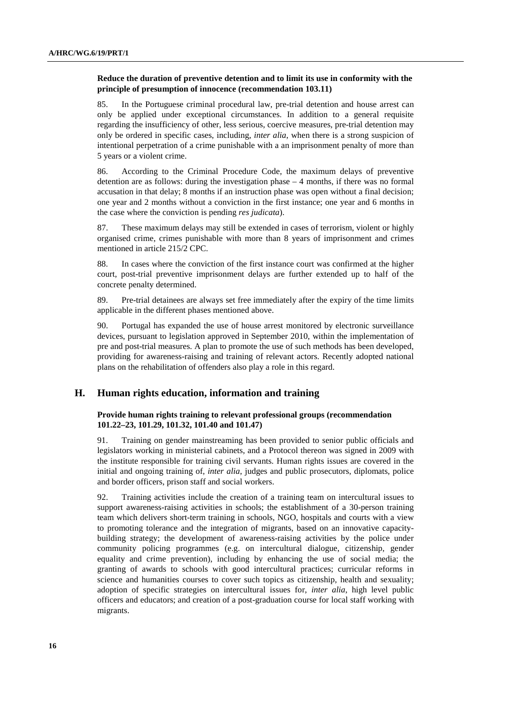#### **Reduce the duration of preventive detention and to limit its use in conformity with the principle of presumption of innocence (recommendation 103.11)**

85. In the Portuguese criminal procedural law, pre-trial detention and house arrest can only be applied under exceptional circumstances. In addition to a general requisite regarding the insufficiency of other, less serious, coercive measures, pre-trial detention may only be ordered in specific cases, including, *inter alia*, when there is a strong suspicion of intentional perpetration of a crime punishable with a an imprisonment penalty of more than 5 years or a violent crime.

86. According to the Criminal Procedure Code, the maximum delays of preventive detention are as follows: during the investigation phase – 4 months, if there was no formal accusation in that delay; 8 months if an instruction phase was open without a final decision; one year and 2 months without a conviction in the first instance; one year and 6 months in the case where the conviction is pending *res judicata*).

87. These maximum delays may still be extended in cases of terrorism, violent or highly organised crime, crimes punishable with more than 8 years of imprisonment and crimes mentioned in article 215/2 CPC.

88. In cases where the conviction of the first instance court was confirmed at the higher court, post-trial preventive imprisonment delays are further extended up to half of the concrete penalty determined.

89. Pre-trial detainees are always set free immediately after the expiry of the time limits applicable in the different phases mentioned above.

90. Portugal has expanded the use of house arrest monitored by electronic surveillance devices, pursuant to legislation approved in September 2010, within the implementation of pre and post-trial measures. A plan to promote the use of such methods has been developed, providing for awareness-raising and training of relevant actors. Recently adopted national plans on the rehabilitation of offenders also play a role in this regard.

# **H. Human rights education, information and training**

#### **Provide human rights training to relevant professional groups (recommendation 101.22–23, 101.29, 101.32, 101.40 and 101.47)**

91. Training on gender mainstreaming has been provided to senior public officials and legislators working in ministerial cabinets, and a Protocol thereon was signed in 2009 with the institute responsible for training civil servants. Human rights issues are covered in the initial and ongoing training of, *inter alia*, judges and public prosecutors, diplomats, police and border officers, prison staff and social workers.

92. Training activities include the creation of a training team on intercultural issues to support awareness-raising activities in schools; the establishment of a 30-person training team which delivers short-term training in schools, NGO, hospitals and courts with a view to promoting tolerance and the integration of migrants, based on an innovative capacitybuilding strategy; the development of awareness-raising activities by the police under community policing programmes (e.g. on intercultural dialogue, citizenship, gender equality and crime prevention), including by enhancing the use of social media; the granting of awards to schools with good intercultural practices; curricular reforms in science and humanities courses to cover such topics as citizenship, health and sexuality; adoption of specific strategies on intercultural issues for, *inter alia*, high level public officers and educators; and creation of a post-graduation course for local staff working with migrants.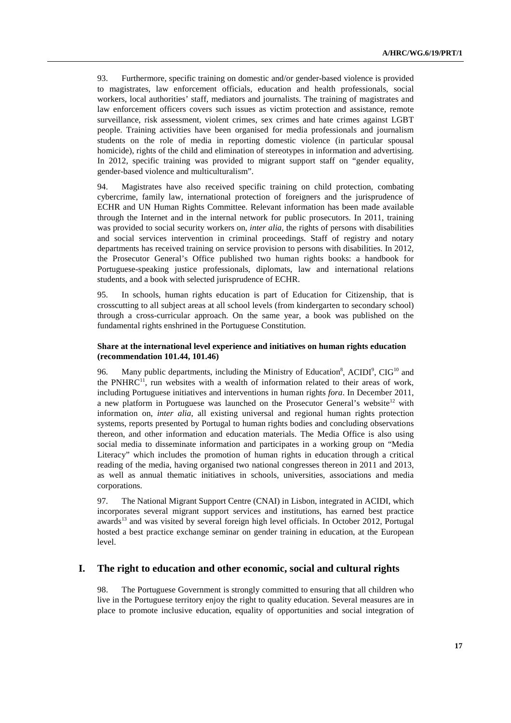93. Furthermore, specific training on domestic and/or gender-based violence is provided to magistrates, law enforcement officials, education and health professionals, social workers, local authorities' staff, mediators and journalists. The training of magistrates and law enforcement officers covers such issues as victim protection and assistance, remote surveillance, risk assessment, violent crimes, sex crimes and hate crimes against LGBT people. Training activities have been organised for media professionals and journalism students on the role of media in reporting domestic violence (in particular spousal homicide), rights of the child and elimination of stereotypes in information and advertising. In 2012, specific training was provided to migrant support staff on "gender equality, gender-based violence and multiculturalism".

94. Magistrates have also received specific training on child protection, combating cybercrime, family law, international protection of foreigners and the jurisprudence of ECHR and UN Human Rights Committee. Relevant information has been made available through the Internet and in the internal network for public prosecutors. In 2011, training was provided to social security workers on, *inter alia*, the rights of persons with disabilities and social services intervention in criminal proceedings. Staff of registry and notary departments has received training on service provision to persons with disabilities. In 2012, the Prosecutor General's Office published two human rights books: a handbook for Portuguese-speaking justice professionals, diplomats, law and international relations students, and a book with selected jurisprudence of ECHR.

95. In schools, human rights education is part of Education for Citizenship, that is crosscutting to all subject areas at all school levels (from kindergarten to secondary school) through a cross-curricular approach. On the same year, a book was published on the fundamental rights enshrined in the Portuguese Constitution.

#### **Share at the international level experience and initiatives on human rights education (recommendation 101.44, 101.46)**

96. Many public departments, including the Ministry of Education<sup>8</sup>, ACIDI<sup>9</sup>, CIG<sup>10</sup> and the PNHRC $^{11}$ , run websites with a wealth of information related to their areas of work, including Portuguese initiatives and interventions in human rights *fora*. In December 2011, a new platform in Portuguese was launched on the Prosecutor General's website<sup>12</sup> with information on, *inter alia*, all existing universal and regional human rights protection systems, reports presented by Portugal to human rights bodies and concluding observations thereon, and other information and education materials. The Media Office is also using social media to disseminate information and participates in a working group on "Media Literacy" which includes the promotion of human rights in education through a critical reading of the media, having organised two national congresses thereon in 2011 and 2013, as well as annual thematic initiatives in schools, universities, associations and media corporations.

97. The National Migrant Support Centre (CNAI) in Lisbon, integrated in ACIDI, which incorporates several migrant support services and institutions, has earned best practice awards<sup>13</sup> and was visited by several foreign high level officials. In October 2012, Portugal hosted a best practice exchange seminar on gender training in education, at the European level.

# **I. The right to education and other economic, social and cultural rights**

98. The Portuguese Government is strongly committed to ensuring that all children who live in the Portuguese territory enjoy the right to quality education. Several measures are in place to promote inclusive education, equality of opportunities and social integration of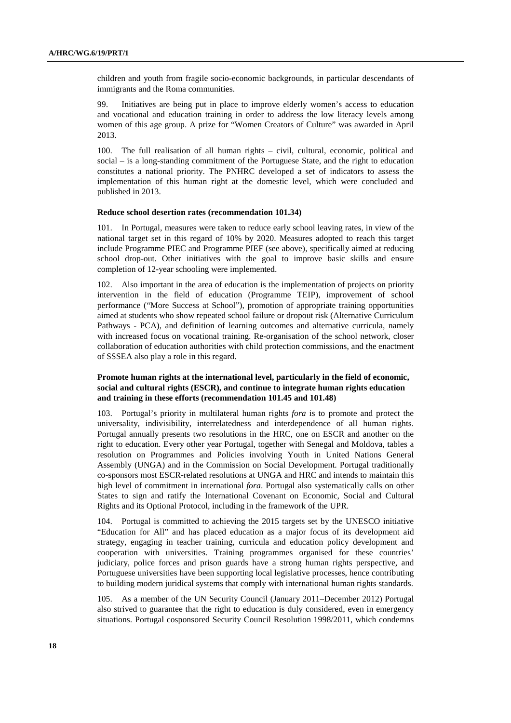children and youth from fragile socio-economic backgrounds, in particular descendants of immigrants and the Roma communities.

99. Initiatives are being put in place to improve elderly women's access to education and vocational and education training in order to address the low literacy levels among women of this age group. A prize for "Women Creators of Culture" was awarded in April 2013.

100. The full realisation of all human rights – civil, cultural, economic, political and social – is a long-standing commitment of the Portuguese State, and the right to education constitutes a national priority. The PNHRC developed a set of indicators to assess the implementation of this human right at the domestic level, which were concluded and published in 2013.

#### **Reduce school desertion rates (recommendation 101.34)**

101. In Portugal, measures were taken to reduce early school leaving rates, in view of the national target set in this regard of 10% by 2020. Measures adopted to reach this target include Programme PIEC and Programme PIEF (see above), specifically aimed at reducing school drop-out. Other initiatives with the goal to improve basic skills and ensure completion of 12-year schooling were implemented.

102. Also important in the area of education is the implementation of projects on priority intervention in the field of education (Programme TEIP), improvement of school performance ("More Success at School"), promotion of appropriate training opportunities aimed at students who show repeated school failure or dropout risk (Alternative Curriculum Pathways - PCA), and definition of learning outcomes and alternative curricula, namely with increased focus on vocational training. Re-organisation of the school network, closer collaboration of education authorities with child protection commissions, and the enactment of SSSEA also play a role in this regard.

#### **Promote human rights at the international level, particularly in the field of economic, social and cultural rights (ESCR), and continue to integrate human rights education and training in these efforts (recommendation 101.45 and 101.48)**

103. Portugal's priority in multilateral human rights *fora* is to promote and protect the universality, indivisibility, interrelatedness and interdependence of all human rights. Portugal annually presents two resolutions in the HRC, one on ESCR and another on the right to education. Every other year Portugal, together with Senegal and Moldova, tables a resolution on Programmes and Policies involving Youth in United Nations General Assembly (UNGA) and in the Commission on Social Development. Portugal traditionally co-sponsors most ESCR-related resolutions at UNGA and HRC and intends to maintain this high level of commitment in international *fora*. Portugal also systematically calls on other States to sign and ratify the International Covenant on Economic, Social and Cultural Rights and its Optional Protocol, including in the framework of the UPR.

104. Portugal is committed to achieving the 2015 targets set by the UNESCO initiative "Education for All" and has placed education as a major focus of its development aid strategy, engaging in teacher training, curricula and education policy development and cooperation with universities. Training programmes organised for these countries' judiciary, police forces and prison guards have a strong human rights perspective, and Portuguese universities have been supporting local legislative processes, hence contributing to building modern juridical systems that comply with international human rights standards.

105. As a member of the UN Security Council (January 2011–December 2012) Portugal also strived to guarantee that the right to education is duly considered, even in emergency situations. Portugal cosponsored Security Council Resolution 1998/2011, which condemns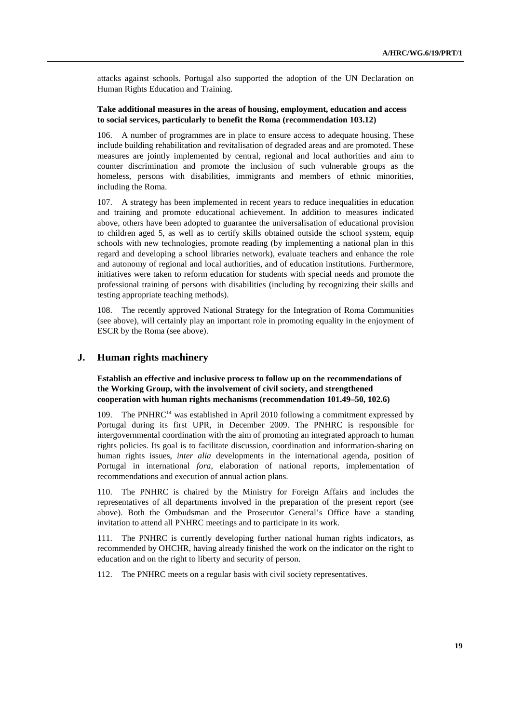attacks against schools. Portugal also supported the adoption of the UN Declaration on Human Rights Education and Training.

# **Take additional measures in the areas of housing, employment, education and access to social services, particularly to benefit the Roma (recommendation 103.12)**

106. A number of programmes are in place to ensure access to adequate housing. These include building rehabilitation and revitalisation of degraded areas and are promoted. These measures are jointly implemented by central, regional and local authorities and aim to counter discrimination and promote the inclusion of such vulnerable groups as the homeless, persons with disabilities, immigrants and members of ethnic minorities, including the Roma.

107. A strategy has been implemented in recent years to reduce inequalities in education and training and promote educational achievement. In addition to measures indicated above, others have been adopted to guarantee the universalisation of educational provision to children aged 5, as well as to certify skills obtained outside the school system, equip schools with new technologies, promote reading (by implementing a national plan in this regard and developing a school libraries network), evaluate teachers and enhance the role and autonomy of regional and local authorities, and of education institutions. Furthermore, initiatives were taken to reform education for students with special needs and promote the professional training of persons with disabilities (including by recognizing their skills and testing appropriate teaching methods).

108. The recently approved National Strategy for the Integration of Roma Communities (see above), will certainly play an important role in promoting equality in the enjoyment of ESCR by the Roma (see above).

# **J. Human rights machinery**

#### **Establish an effective and inclusive process to follow up on the recommendations of the Working Group, with the involvement of civil society, and strengthened cooperation with human rights mechanisms (recommendation 101.49–50, 102.6)**

109. The PNHRC<sup>14</sup> was established in April 2010 following a commitment expressed by Portugal during its first UPR, in December 2009. The PNHRC is responsible for intergovernmental coordination with the aim of promoting an integrated approach to human rights policies. Its goal is to facilitate discussion, coordination and information-sharing on human rights issues, *inter alia* developments in the international agenda, position of Portugal in international *fora*, elaboration of national reports, implementation of recommendations and execution of annual action plans.

The PNHRC is chaired by the Ministry for Foreign Affairs and includes the representatives of all departments involved in the preparation of the present report (see above). Both the Ombudsman and the Prosecutor General's Office have a standing invitation to attend all PNHRC meetings and to participate in its work.

111. The PNHRC is currently developing further national human rights indicators, as recommended by OHCHR, having already finished the work on the indicator on the right to education and on the right to liberty and security of person.

112. The PNHRC meets on a regular basis with civil society representatives.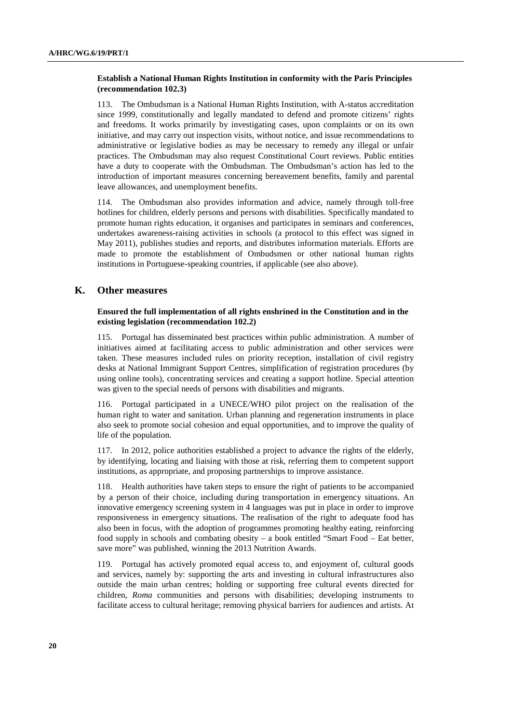#### **Establish a National Human Rights Institution in conformity with the Paris Principles (recommendation 102.3)**

113. The Ombudsman is a National Human Rights Institution, with A-status accreditation since 1999, constitutionally and legally mandated to defend and promote citizens' rights and freedoms. It works primarily by investigating cases, upon complaints or on its own initiative, and may carry out inspection visits, without notice, and issue recommendations to administrative or legislative bodies as may be necessary to remedy any illegal or unfair practices. The Ombudsman may also request Constitutional Court reviews. Public entities have a duty to cooperate with the Ombudsman. The Ombudsman's action has led to the introduction of important measures concerning bereavement benefits, family and parental leave allowances, and unemployment benefits.

114. The Ombudsman also provides information and advice, namely through toll-free hotlines for children, elderly persons and persons with disabilities. Specifically mandated to promote human rights education, it organises and participates in seminars and conferences, undertakes awareness-raising activities in schools (a protocol to this effect was signed in May 2011), publishes studies and reports, and distributes information materials. Efforts are made to promote the establishment of Ombudsmen or other national human rights institutions in Portuguese-speaking countries, if applicable (see also above).

# **K. Other measures**

#### **Ensured the full implementation of all rights enshrined in the Constitution and in the existing legislation (recommendation 102.2)**

115. Portugal has disseminated best practices within public administration. A number of initiatives aimed at facilitating access to public administration and other services were taken. These measures included rules on priority reception, installation of civil registry desks at National Immigrant Support Centres, simplification of registration procedures (by using online tools), concentrating services and creating a support hotline. Special attention was given to the special needs of persons with disabilities and migrants.

116. Portugal participated in a UNECE/WHO pilot project on the realisation of the human right to water and sanitation. Urban planning and regeneration instruments in place also seek to promote social cohesion and equal opportunities, and to improve the quality of life of the population.

117. In 2012, police authorities established a project to advance the rights of the elderly, by identifying, locating and liaising with those at risk, referring them to competent support institutions, as appropriate, and proposing partnerships to improve assistance.

118. Health authorities have taken steps to ensure the right of patients to be accompanied by a person of their choice, including during transportation in emergency situations. An innovative emergency screening system in 4 languages was put in place in order to improve responsiveness in emergency situations. The realisation of the right to adequate food has also been in focus, with the adoption of programmes promoting healthy eating, reinforcing food supply in schools and combating obesity – a book entitled "Smart Food – Eat better, save more" was published, winning the 2013 Nutrition Awards.

119. Portugal has actively promoted equal access to, and enjoyment of, cultural goods and services, namely by: supporting the arts and investing in cultural infrastructures also outside the main urban centres; holding or supporting free cultural events directed for children, *Roma* communities and persons with disabilities; developing instruments to facilitate access to cultural heritage; removing physical barriers for audiences and artists. At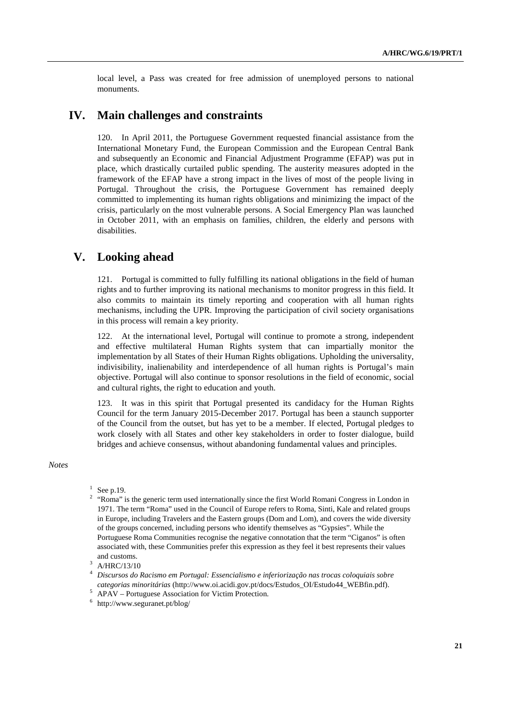local level, a Pass was created for free admission of unemployed persons to national monuments.

# **IV. Main challenges and constraints**

120. In April 2011, the Portuguese Government requested financial assistance from the International Monetary Fund, the European Commission and the European Central Bank and subsequently an Economic and Financial Adjustment Programme (EFAP) was put in place, which drastically curtailed public spending. The austerity measures adopted in the framework of the EFAP have a strong impact in the lives of most of the people living in Portugal. Throughout the crisis, the Portuguese Government has remained deeply committed to implementing its human rights obligations and minimizing the impact of the crisis, particularly on the most vulnerable persons. A Social Emergency Plan was launched in October 2011, with an emphasis on families, children, the elderly and persons with disabilities.

# **V. Looking ahead**

121. Portugal is committed to fully fulfilling its national obligations in the field of human rights and to further improving its national mechanisms to monitor progress in this field. It also commits to maintain its timely reporting and cooperation with all human rights mechanisms, including the UPR. Improving the participation of civil society organisations in this process will remain a key priority.

122. At the international level, Portugal will continue to promote a strong, independent and effective multilateral Human Rights system that can impartially monitor the implementation by all States of their Human Rights obligations. Upholding the universality, indivisibility, inalienability and interdependence of all human rights is Portugal's main objective. Portugal will also continue to sponsor resolutions in the field of economic, social and cultural rights, the right to education and youth.

123. It was in this spirit that Portugal presented its candidacy for the Human Rights Council for the term January 2015-December 2017. Portugal has been a staunch supporter of the Council from the outset, but has yet to be a member. If elected, Portugal pledges to work closely with all States and other key stakeholders in order to foster dialogue, build bridges and achieve consensus, without abandoning fundamental values and principles.

*Notes* 

 $\frac{L}{\sqrt{2}}$  APAV – Portuguese Association for Victim Protection.

 $^1$  See p.19.

<sup>&</sup>lt;sup>2</sup> "Roma" is the generic term used internationally since the first World Romani Congress in London in 1971. The term "Roma" used in the Council of Europe refers to Roma, Sinti, Kale and related groups in Europe, including Travelers and the Eastern groups (Dom and Lom), and covers the wide diversity of the groups concerned, including persons who identify themselves as "Gypsies". While the Portuguese Roma Communities recognise the negative connotation that the term "Ciganos" is often associated with, these Communities prefer this expression as they feel it best represents their values and customs.<br> $\frac{3}{4}$  A/HDC/12/1

A/HRC/13/10

<sup>4</sup> *Discursos do Racismo em Portugal: Essencialismo e inferiorização nas trocas coloquiais sobre categorias minoritárias* (http://www.oi.acidi.gov.pt/docs/Estudos\_OI/Estudo44\_WEBfin.pdf). 5

<sup>6</sup> http://www.seguranet.pt/blog/